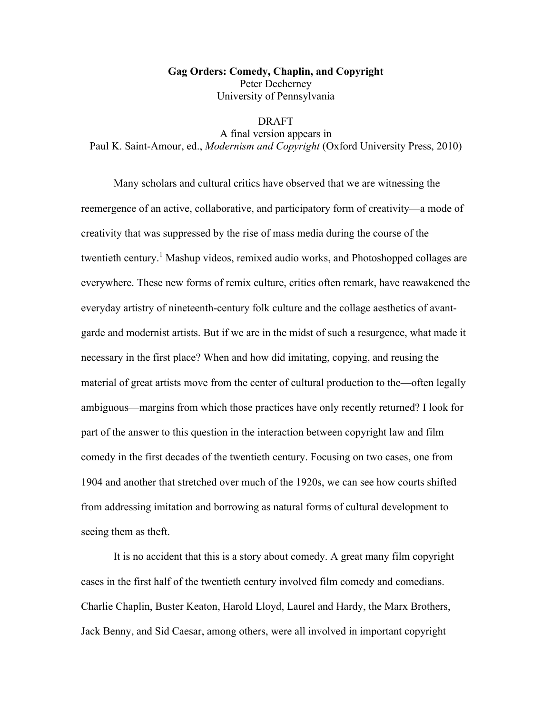# **Gag Orders: Comedy, Chaplin, and Copyright** Peter Decherney University of Pennsylvania

# DRAFT A final version appears in Paul K. Saint-Amour, ed., *Modernism and Copyright* (Oxford University Press, 2010)

Many scholars and cultural critics have observed that we are witnessing the reemergence of an active, collaborative, and participatory form of creativity—a mode of creativity that was suppressed by the rise of mass media during the course of the twentieth century.<sup>1</sup> Mashup videos, remixed audio works, and Photoshopped collages are everywhere. These new forms of remix culture, critics often remark, have reawakened the everyday artistry of nineteenth-century folk culture and the collage aesthetics of avantgarde and modernist artists. But if we are in the midst of such a resurgence, what made it necessary in the first place? When and how did imitating, copying, and reusing the material of great artists move from the center of cultural production to the—often legally ambiguous—margins from which those practices have only recently returned? I look for part of the answer to this question in the interaction between copyright law and film comedy in the first decades of the twentieth century. Focusing on two cases, one from 1904 and another that stretched over much of the 1920s, we can see how courts shifted from addressing imitation and borrowing as natural forms of cultural development to seeing them as theft.

It is no accident that this is a story about comedy. A great many film copyright cases in the first half of the twentieth century involved film comedy and comedians. Charlie Chaplin, Buster Keaton, Harold Lloyd, Laurel and Hardy, the Marx Brothers, Jack Benny, and Sid Caesar, among others, were all involved in important copyright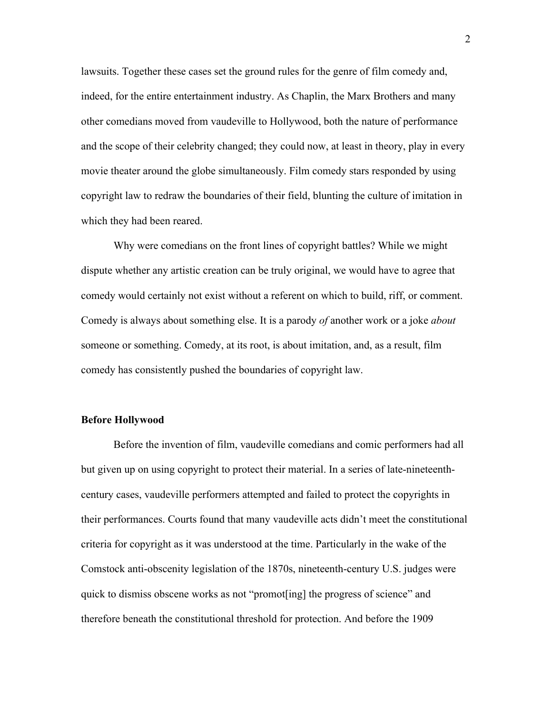lawsuits. Together these cases set the ground rules for the genre of film comedy and, indeed, for the entire entertainment industry. As Chaplin, the Marx Brothers and many other comedians moved from vaudeville to Hollywood, both the nature of performance and the scope of their celebrity changed; they could now, at least in theory, play in every movie theater around the globe simultaneously. Film comedy stars responded by using copyright law to redraw the boundaries of their field, blunting the culture of imitation in which they had been reared.

Why were comedians on the front lines of copyright battles? While we might dispute whether any artistic creation can be truly original, we would have to agree that comedy would certainly not exist without a referent on which to build, riff, or comment. Comedy is always about something else. It is a parody *of* another work or a joke *about* someone or something. Comedy, at its root, is about imitation, and, as a result, film comedy has consistently pushed the boundaries of copyright law.

## **Before Hollywood**

Before the invention of film, vaudeville comedians and comic performers had all but given up on using copyright to protect their material. In a series of late-nineteenthcentury cases, vaudeville performers attempted and failed to protect the copyrights in their performances. Courts found that many vaudeville acts didn't meet the constitutional criteria for copyright as it was understood at the time. Particularly in the wake of the Comstock anti-obscenity legislation of the 1870s, nineteenth-century U.S. judges were quick to dismiss obscene works as not "promot[ing] the progress of science" and therefore beneath the constitutional threshold for protection. And before the 1909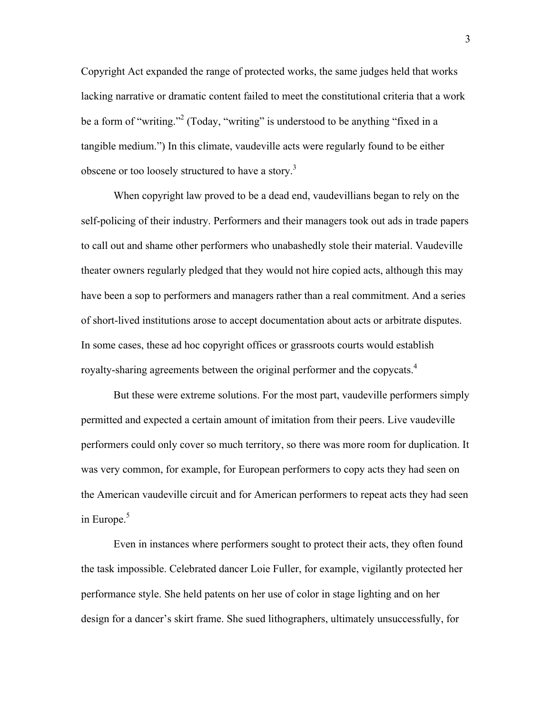Copyright Act expanded the range of protected works, the same judges held that works lacking narrative or dramatic content failed to meet the constitutional criteria that a work be a form of "writing."<sup>2</sup> (Today, "writing" is understood to be anything "fixed in a tangible medium.") In this climate, vaudeville acts were regularly found to be either obscene or too loosely structured to have a story.<sup>3</sup>

When copyright law proved to be a dead end, vaudevillians began to rely on the self-policing of their industry. Performers and their managers took out ads in trade papers to call out and shame other performers who unabashedly stole their material. Vaudeville theater owners regularly pledged that they would not hire copied acts, although this may have been a sop to performers and managers rather than a real commitment. And a series of short-lived institutions arose to accept documentation about acts or arbitrate disputes. In some cases, these ad hoc copyright offices or grassroots courts would establish royalty-sharing agreements between the original performer and the copycats.<sup>4</sup>

But these were extreme solutions. For the most part, vaudeville performers simply permitted and expected a certain amount of imitation from their peers. Live vaudeville performers could only cover so much territory, so there was more room for duplication. It was very common, for example, for European performers to copy acts they had seen on the American vaudeville circuit and for American performers to repeat acts they had seen in Europe. $5$ 

Even in instances where performers sought to protect their acts, they often found the task impossible. Celebrated dancer Loie Fuller, for example, vigilantly protected her performance style. She held patents on her use of color in stage lighting and on her design for a dancer's skirt frame. She sued lithographers, ultimately unsuccessfully, for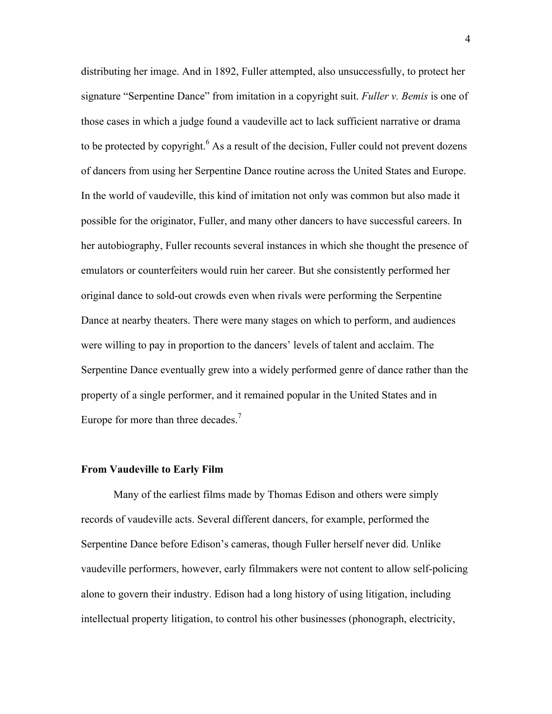distributing her image. And in 1892, Fuller attempted, also unsuccessfully, to protect her signature "Serpentine Dance" from imitation in a copyright suit. *Fuller v. Bemis* is one of those cases in which a judge found a vaudeville act to lack sufficient narrative or drama to be protected by copyright.<sup>6</sup> As a result of the decision, Fuller could not prevent dozens of dancers from using her Serpentine Dance routine across the United States and Europe. In the world of vaudeville, this kind of imitation not only was common but also made it possible for the originator, Fuller, and many other dancers to have successful careers. In her autobiography, Fuller recounts several instances in which she thought the presence of emulators or counterfeiters would ruin her career. But she consistently performed her original dance to sold-out crowds even when rivals were performing the Serpentine Dance at nearby theaters. There were many stages on which to perform, and audiences were willing to pay in proportion to the dancers' levels of talent and acclaim. The Serpentine Dance eventually grew into a widely performed genre of dance rather than the property of a single performer, and it remained popular in the United States and in Europe for more than three decades.<sup>7</sup>

### **From Vaudeville to Early Film**

Many of the earliest films made by Thomas Edison and others were simply records of vaudeville acts. Several different dancers, for example, performed the Serpentine Dance before Edison's cameras, though Fuller herself never did. Unlike vaudeville performers, however, early filmmakers were not content to allow self-policing alone to govern their industry. Edison had a long history of using litigation, including intellectual property litigation, to control his other businesses (phonograph, electricity,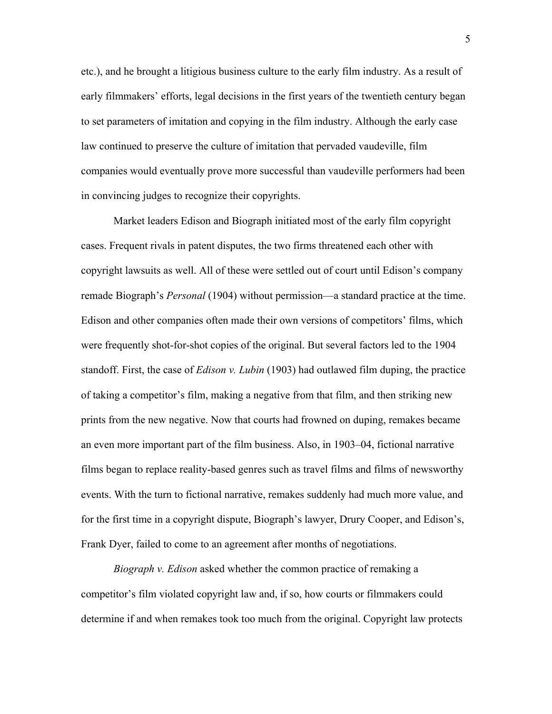etc.), and he brought a litigious business culture to the early film industry. As a result of early filmmakers' efforts, legal decisions in the first years of the twentieth century began to set parameters of imitation and copying in the film industry. Although the early case law continued to preserve the culture of imitation that pervaded vaudeville, film companies would eventually prove more successful than vaudeville performers had been in convincing judges to recognize their copyrights.

Market leaders Edison and Biograph initiated most of the early film copyright cases. Frequent rivals in patent disputes, the two firms threatened each other with copyright lawsuits as well. All of these were settled out of court until Edison's company remade Biograph's *Personal* (1904) without permission—a standard practice at the time. Edison and other companies often made their own versions of competitors' films, which were frequently shot-for-shot copies of the original. But several factors led to the 1904 standoff. First, the case of *Edison v. Lubin* (1903) had outlawed film duping, the practice of taking a competitor's film, making a negative from that film, and then striking new prints from the new negative. Now that courts had frowned on duping, remakes became an even more important part of the film business. Also, in 1903–04, fictional narrative films began to replace reality-based genres such as travel films and films of newsworthy events. With the turn to fictional narrative, remakes suddenly had much more value, and for the first time in a copyright dispute, Biograph's lawyer, Drury Cooper, and Edison's, Frank Dyer, failed to come to an agreement after months of negotiations.

*Biograph v. Edison* asked whether the common practice of remaking a competitor's film violated copyright law and, if so, how courts or filmmakers could determine if and when remakes took too much from the original. Copyright law protects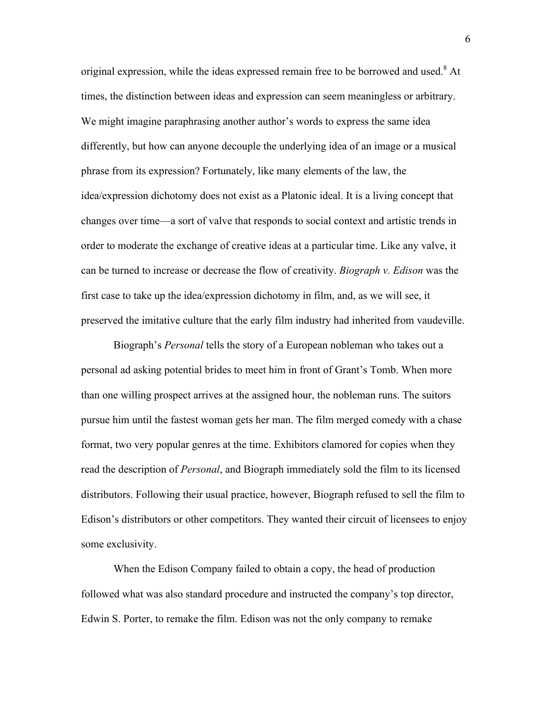original expression, while the ideas expressed remain free to be borrowed and used. $8$  At times, the distinction between ideas and expression can seem meaningless or arbitrary. We might imagine paraphrasing another author's words to express the same idea differently, but how can anyone decouple the underlying idea of an image or a musical phrase from its expression? Fortunately, like many elements of the law, the idea/expression dichotomy does not exist as a Platonic ideal. It is a living concept that changes over time—a sort of valve that responds to social context and artistic trends in order to moderate the exchange of creative ideas at a particular time. Like any valve, it can be turned to increase or decrease the flow of creativity. *Biograph v. Edison* was the first case to take up the idea/expression dichotomy in film, and, as we will see, it preserved the imitative culture that the early film industry had inherited from vaudeville.

Biograph's *Personal* tells the story of a European nobleman who takes out a personal ad asking potential brides to meet him in front of Grant's Tomb. When more than one willing prospect arrives at the assigned hour, the nobleman runs. The suitors pursue him until the fastest woman gets her man. The film merged comedy with a chase format, two very popular genres at the time. Exhibitors clamored for copies when they read the description of *Personal*, and Biograph immediately sold the film to its licensed distributors. Following their usual practice, however, Biograph refused to sell the film to Edison's distributors or other competitors. They wanted their circuit of licensees to enjoy some exclusivity.

When the Edison Company failed to obtain a copy, the head of production followed what was also standard procedure and instructed the company's top director, Edwin S. Porter, to remake the film. Edison was not the only company to remake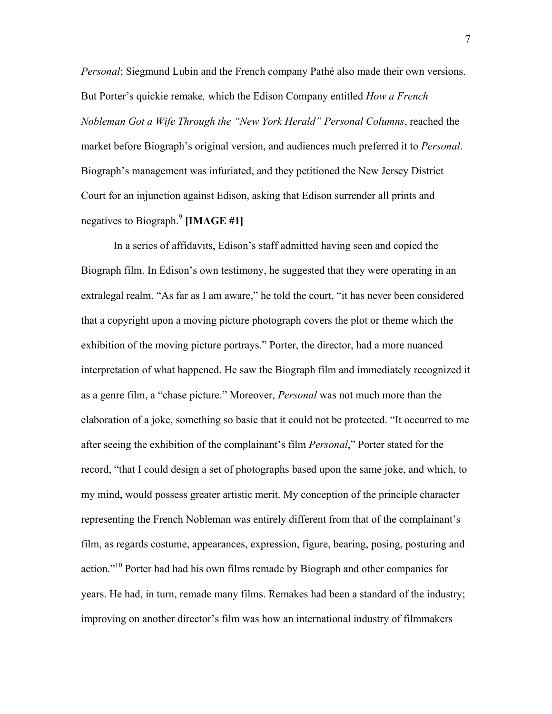*Personal*; Siegmund Lubin and the French company Pathé also made their own versions. But Porter's quickie remake*,* which the Edison Company entitled *How a French Nobleman Got a Wife Through the "New York Herald" Personal Columns*, reached the market before Biograph's original version, and audiences much preferred it to *Personal*. Biograph's management was infuriated, and they petitioned the New Jersey District Court for an injunction against Edison, asking that Edison surrender all prints and negatives to Biograph.9 **[IMAGE #1]**

In a series of affidavits, Edison's staff admitted having seen and copied the Biograph film. In Edison's own testimony, he suggested that they were operating in an extralegal realm. "As far as I am aware," he told the court, "it has never been considered that a copyright upon a moving picture photograph covers the plot or theme which the exhibition of the moving picture portrays." Porter, the director, had a more nuanced interpretation of what happened. He saw the Biograph film and immediately recognized it as a genre film, a "chase picture." Moreover, *Personal* was not much more than the elaboration of a joke, something so basic that it could not be protected. "It occurred to me after seeing the exhibition of the complainant's film *Personal*," Porter stated for the record, "that I could design a set of photographs based upon the same joke, and which, to my mind, would possess greater artistic merit. My conception of the principle character representing the French Nobleman was entirely different from that of the complainant's film, as regards costume, appearances, expression, figure, bearing, posing, posturing and action."<sup>10</sup> Porter had had his own films remade by Biograph and other companies for years. He had, in turn, remade many films. Remakes had been a standard of the industry; improving on another director's film was how an international industry of filmmakers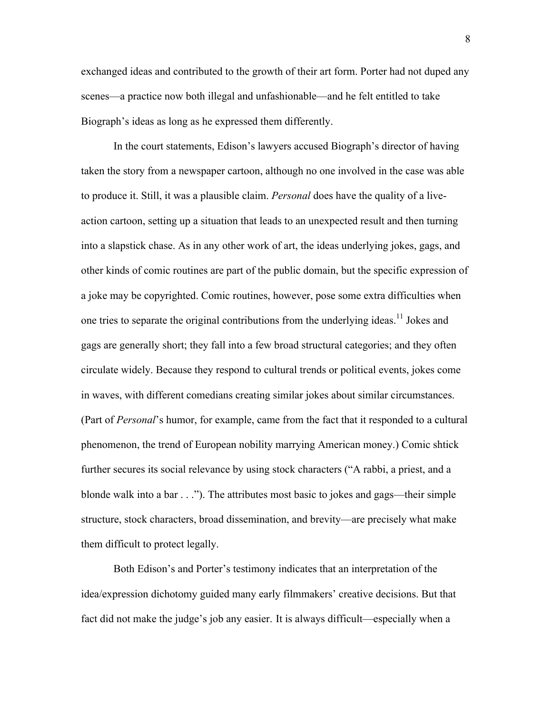exchanged ideas and contributed to the growth of their art form. Porter had not duped any scenes—a practice now both illegal and unfashionable—and he felt entitled to take Biograph's ideas as long as he expressed them differently.

In the court statements, Edison's lawyers accused Biograph's director of having taken the story from a newspaper cartoon, although no one involved in the case was able to produce it. Still, it was a plausible claim. *Personal* does have the quality of a liveaction cartoon, setting up a situation that leads to an unexpected result and then turning into a slapstick chase. As in any other work of art, the ideas underlying jokes, gags, and other kinds of comic routines are part of the public domain, but the specific expression of a joke may be copyrighted. Comic routines, however, pose some extra difficulties when one tries to separate the original contributions from the underlying ideas.<sup>11</sup> Jokes and gags are generally short; they fall into a few broad structural categories; and they often circulate widely. Because they respond to cultural trends or political events, jokes come in waves, with different comedians creating similar jokes about similar circumstances. (Part of *Personal*'s humor, for example, came from the fact that it responded to a cultural phenomenon, the trend of European nobility marrying American money.) Comic shtick further secures its social relevance by using stock characters ("A rabbi, a priest, and a blonde walk into a bar . . ."). The attributes most basic to jokes and gags—their simple structure, stock characters, broad dissemination, and brevity—are precisely what make them difficult to protect legally.

Both Edison's and Porter's testimony indicates that an interpretation of the idea/expression dichotomy guided many early filmmakers' creative decisions. But that fact did not make the judge's job any easier. It is always difficult—especially when a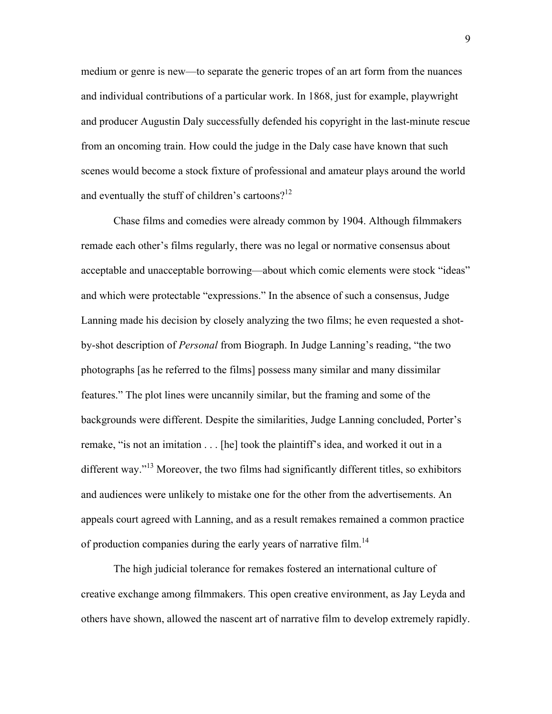medium or genre is new—to separate the generic tropes of an art form from the nuances and individual contributions of a particular work. In 1868, just for example, playwright and producer Augustin Daly successfully defended his copyright in the last-minute rescue from an oncoming train. How could the judge in the Daly case have known that such scenes would become a stock fixture of professional and amateur plays around the world and eventually the stuff of children's cartoons? $12$ 

Chase films and comedies were already common by 1904. Although filmmakers remade each other's films regularly, there was no legal or normative consensus about acceptable and unacceptable borrowing—about which comic elements were stock "ideas" and which were protectable "expressions." In the absence of such a consensus, Judge Lanning made his decision by closely analyzing the two films; he even requested a shotby-shot description of *Personal* from Biograph. In Judge Lanning's reading, "the two photographs [as he referred to the films] possess many similar and many dissimilar features." The plot lines were uncannily similar, but the framing and some of the backgrounds were different. Despite the similarities, Judge Lanning concluded, Porter's remake, "is not an imitation . . . [he] took the plaintiff's idea, and worked it out in a different way."<sup>13</sup> Moreover, the two films had significantly different titles, so exhibitors and audiences were unlikely to mistake one for the other from the advertisements. An appeals court agreed with Lanning, and as a result remakes remained a common practice of production companies during the early years of narrative film.<sup>14</sup>

The high judicial tolerance for remakes fostered an international culture of creative exchange among filmmakers. This open creative environment, as Jay Leyda and others have shown, allowed the nascent art of narrative film to develop extremely rapidly.

9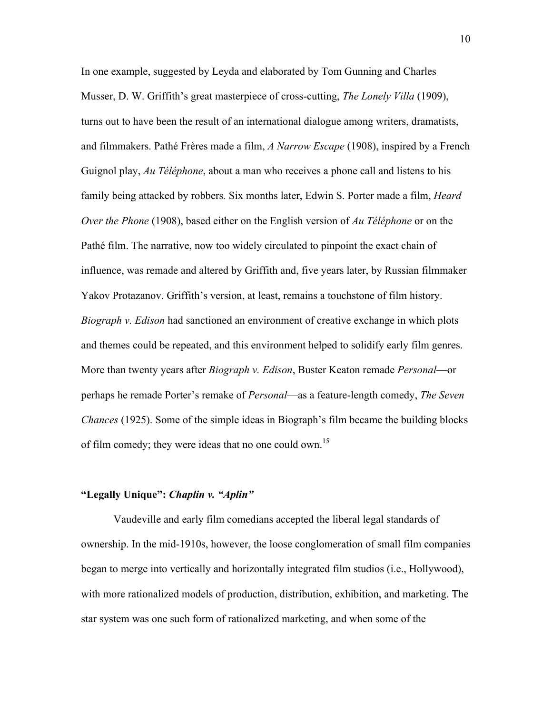In one example, suggested by Leyda and elaborated by Tom Gunning and Charles Musser, D. W. Griffith's great masterpiece of cross-cutting, *The Lonely Villa* (1909), turns out to have been the result of an international dialogue among writers, dramatists, and filmmakers. Pathé Frères made a film, *A Narrow Escape* (1908), inspired by a French Guignol play, *Au Téléphone*, about a man who receives a phone call and listens to his family being attacked by robbers*.* Six months later, Edwin S. Porter made a film, *Heard Over the Phone* (1908), based either on the English version of *Au Téléphone* or on the Pathé film. The narrative, now too widely circulated to pinpoint the exact chain of influence, was remade and altered by Griffith and, five years later, by Russian filmmaker Yakov Protazanov. Griffith's version, at least, remains a touchstone of film history. *Biograph v. Edison* had sanctioned an environment of creative exchange in which plots and themes could be repeated, and this environment helped to solidify early film genres. More than twenty years after *Biograph v. Edison*, Buster Keaton remade *Personal*—or perhaps he remade Porter's remake of *Personal*—as a feature-length comedy, *The Seven Chances* (1925). Some of the simple ideas in Biograph's film became the building blocks of film comedy; they were ideas that no one could own.<sup>15</sup>

### **"Legally Unique":** *Chaplin v. "Aplin"*

Vaudeville and early film comedians accepted the liberal legal standards of ownership. In the mid-1910s, however, the loose conglomeration of small film companies began to merge into vertically and horizontally integrated film studios (i.e., Hollywood), with more rationalized models of production, distribution, exhibition, and marketing. The star system was one such form of rationalized marketing, and when some of the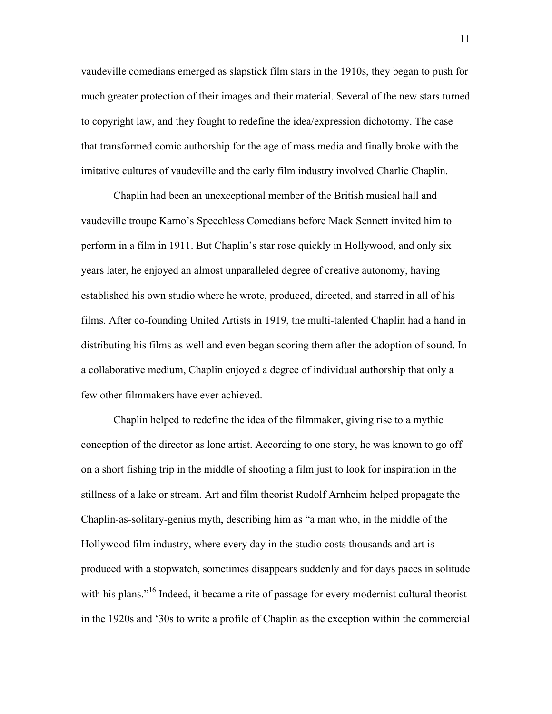vaudeville comedians emerged as slapstick film stars in the 1910s, they began to push for much greater protection of their images and their material. Several of the new stars turned to copyright law, and they fought to redefine the idea/expression dichotomy. The case that transformed comic authorship for the age of mass media and finally broke with the imitative cultures of vaudeville and the early film industry involved Charlie Chaplin.

Chaplin had been an unexceptional member of the British musical hall and vaudeville troupe Karno's Speechless Comedians before Mack Sennett invited him to perform in a film in 1911. But Chaplin's star rose quickly in Hollywood, and only six years later, he enjoyed an almost unparalleled degree of creative autonomy, having established his own studio where he wrote, produced, directed, and starred in all of his films. After co-founding United Artists in 1919, the multi-talented Chaplin had a hand in distributing his films as well and even began scoring them after the adoption of sound. In a collaborative medium, Chaplin enjoyed a degree of individual authorship that only a few other filmmakers have ever achieved.

Chaplin helped to redefine the idea of the filmmaker, giving rise to a mythic conception of the director as lone artist. According to one story, he was known to go off on a short fishing trip in the middle of shooting a film just to look for inspiration in the stillness of a lake or stream. Art and film theorist Rudolf Arnheim helped propagate the Chaplin-as-solitary-genius myth, describing him as "a man who, in the middle of the Hollywood film industry, where every day in the studio costs thousands and art is produced with a stopwatch, sometimes disappears suddenly and for days paces in solitude with his plans."<sup>16</sup> Indeed, it became a rite of passage for every modernist cultural theorist in the 1920s and '30s to write a profile of Chaplin as the exception within the commercial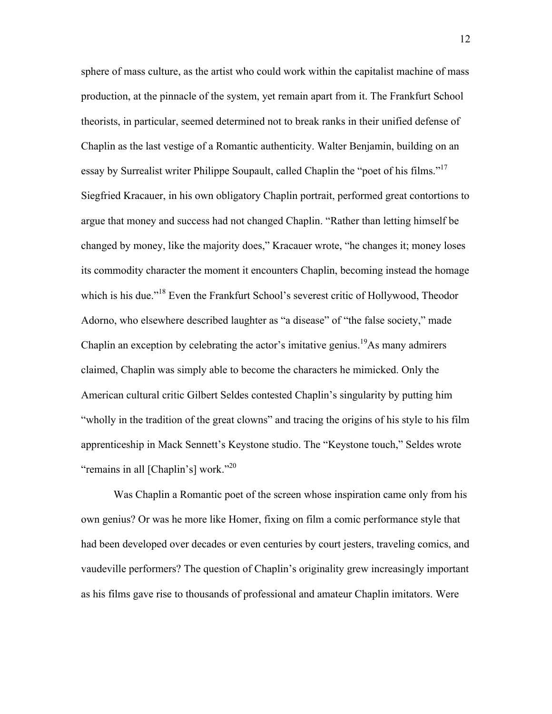sphere of mass culture, as the artist who could work within the capitalist machine of mass production, at the pinnacle of the system, yet remain apart from it. The Frankfurt School theorists, in particular, seemed determined not to break ranks in their unified defense of Chaplin as the last vestige of a Romantic authenticity. Walter Benjamin, building on an essay by Surrealist writer Philippe Soupault, called Chaplin the "poet of his films."<sup>17</sup> Siegfried Kracauer, in his own obligatory Chaplin portrait, performed great contortions to argue that money and success had not changed Chaplin. "Rather than letting himself be changed by money, like the majority does," Kracauer wrote, "he changes it; money loses its commodity character the moment it encounters Chaplin, becoming instead the homage which is his due."<sup>18</sup> Even the Frankfurt School's severest critic of Hollywood, Theodor Adorno, who elsewhere described laughter as "a disease" of "the false society," made Chaplin an exception by celebrating the actor's imitative genius.<sup>19</sup>As many admirers claimed, Chaplin was simply able to become the characters he mimicked. Only the American cultural critic Gilbert Seldes contested Chaplin's singularity by putting him "wholly in the tradition of the great clowns" and tracing the origins of his style to his film apprenticeship in Mack Sennett's Keystone studio. The "Keystone touch," Seldes wrote "remains in all [Chaplin's] work."<sup>20</sup>

Was Chaplin a Romantic poet of the screen whose inspiration came only from his own genius? Or was he more like Homer, fixing on film a comic performance style that had been developed over decades or even centuries by court jesters, traveling comics, and vaudeville performers? The question of Chaplin's originality grew increasingly important as his films gave rise to thousands of professional and amateur Chaplin imitators. Were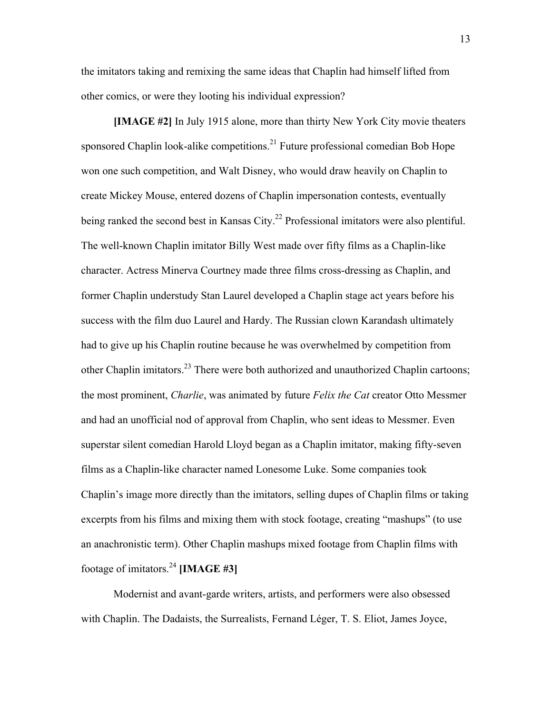the imitators taking and remixing the same ideas that Chaplin had himself lifted from other comics, or were they looting his individual expression?

**[IMAGE #2]** In July 1915 alone, more than thirty New York City movie theaters sponsored Chaplin look-alike competitions.<sup>21</sup> Future professional comedian Bob Hope won one such competition, and Walt Disney, who would draw heavily on Chaplin to create Mickey Mouse, entered dozens of Chaplin impersonation contests, eventually being ranked the second best in Kansas City.<sup>22</sup> Professional imitators were also plentiful. The well-known Chaplin imitator Billy West made over fifty films as a Chaplin-like character. Actress Minerva Courtney made three films cross-dressing as Chaplin, and former Chaplin understudy Stan Laurel developed a Chaplin stage act years before his success with the film duo Laurel and Hardy. The Russian clown Karandash ultimately had to give up his Chaplin routine because he was overwhelmed by competition from other Chaplin imitators.<sup>23</sup> There were both authorized and unauthorized Chaplin cartoons; the most prominent, *Charlie*, was animated by future *Felix the Cat* creator Otto Messmer and had an unofficial nod of approval from Chaplin, who sent ideas to Messmer. Even superstar silent comedian Harold Lloyd began as a Chaplin imitator, making fifty-seven films as a Chaplin-like character named Lonesome Luke. Some companies took Chaplin's image more directly than the imitators, selling dupes of Chaplin films or taking excerpts from his films and mixing them with stock footage, creating "mashups" (to use an anachronistic term). Other Chaplin mashups mixed footage from Chaplin films with footage of imitators.<sup>24</sup> **[IMAGE #3]**

Modernist and avant-garde writers, artists, and performers were also obsessed with Chaplin. The Dadaists, the Surrealists, Fernand Léger, T. S. Eliot, James Joyce,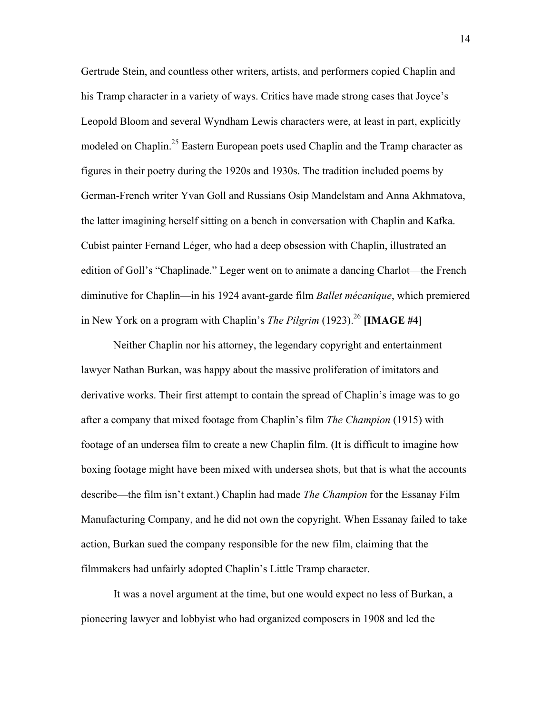Gertrude Stein, and countless other writers, artists, and performers copied Chaplin and his Tramp character in a variety of ways. Critics have made strong cases that Joyce's Leopold Bloom and several Wyndham Lewis characters were, at least in part, explicitly modeled on Chaplin.<sup>25</sup> Eastern European poets used Chaplin and the Tramp character as figures in their poetry during the 1920s and 1930s. The tradition included poems by German-French writer Yvan Goll and Russians Osip Mandelstam and Anna Akhmatova, the latter imagining herself sitting on a bench in conversation with Chaplin and Kafka. Cubist painter Fernand Léger, who had a deep obsession with Chaplin, illustrated an edition of Goll's "Chaplinade." Leger went on to animate a dancing Charlot—the French diminutive for Chaplin—in his 1924 avant-garde film *Ballet mécanique*, which premiered in New York on a program with Chaplin's *The Pilgrim* (1923).<sup>26</sup> [IMAGE #4]

Neither Chaplin nor his attorney, the legendary copyright and entertainment lawyer Nathan Burkan, was happy about the massive proliferation of imitators and derivative works. Their first attempt to contain the spread of Chaplin's image was to go after a company that mixed footage from Chaplin's film *The Champion* (1915) with footage of an undersea film to create a new Chaplin film. (It is difficult to imagine how boxing footage might have been mixed with undersea shots, but that is what the accounts describe—the film isn't extant.) Chaplin had made *The Champion* for the Essanay Film Manufacturing Company, and he did not own the copyright. When Essanay failed to take action, Burkan sued the company responsible for the new film, claiming that the filmmakers had unfairly adopted Chaplin's Little Tramp character.

It was a novel argument at the time, but one would expect no less of Burkan, a pioneering lawyer and lobbyist who had organized composers in 1908 and led the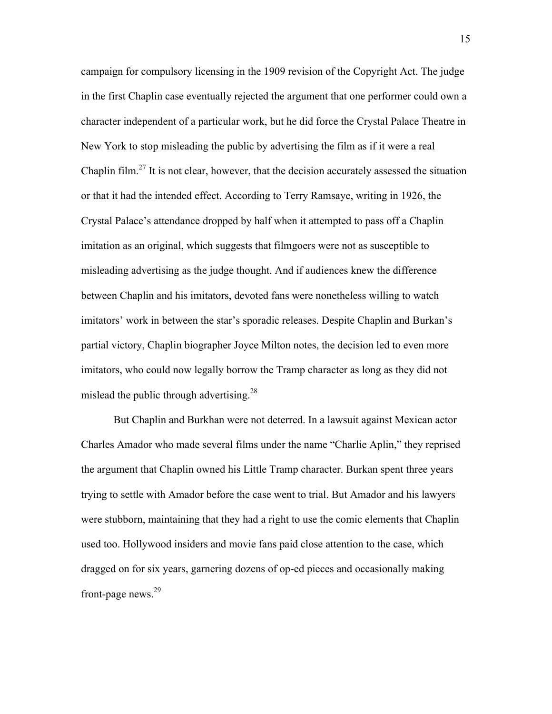campaign for compulsory licensing in the 1909 revision of the Copyright Act. The judge in the first Chaplin case eventually rejected the argument that one performer could own a character independent of a particular work, but he did force the Crystal Palace Theatre in New York to stop misleading the public by advertising the film as if it were a real Chaplin film.<sup>27</sup> It is not clear, however, that the decision accurately assessed the situation or that it had the intended effect. According to Terry Ramsaye, writing in 1926, the Crystal Palace's attendance dropped by half when it attempted to pass off a Chaplin imitation as an original, which suggests that filmgoers were not as susceptible to misleading advertising as the judge thought. And if audiences knew the difference between Chaplin and his imitators, devoted fans were nonetheless willing to watch imitators' work in between the star's sporadic releases. Despite Chaplin and Burkan's partial victory, Chaplin biographer Joyce Milton notes, the decision led to even more imitators, who could now legally borrow the Tramp character as long as they did not mislead the public through advertising.<sup>28</sup>

But Chaplin and Burkhan were not deterred. In a lawsuit against Mexican actor Charles Amador who made several films under the name "Charlie Aplin," they reprised the argument that Chaplin owned his Little Tramp character. Burkan spent three years trying to settle with Amador before the case went to trial. But Amador and his lawyers were stubborn, maintaining that they had a right to use the comic elements that Chaplin used too. Hollywood insiders and movie fans paid close attention to the case, which dragged on for six years, garnering dozens of op-ed pieces and occasionally making front-page news.29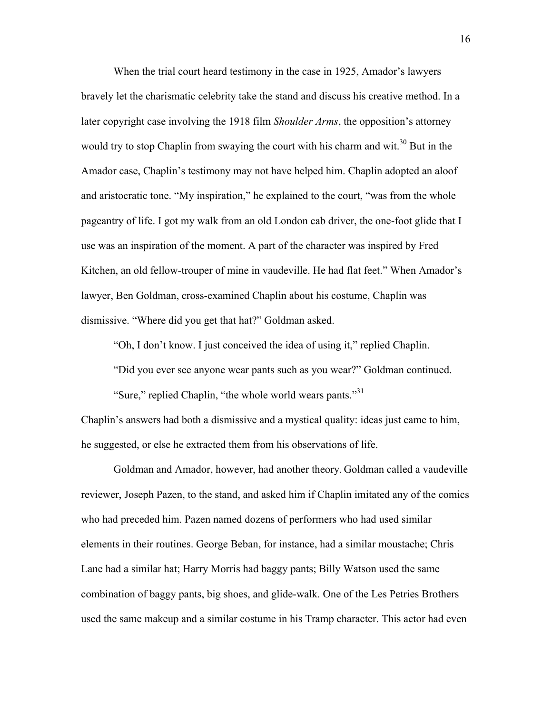When the trial court heard testimony in the case in 1925, Amador's lawyers bravely let the charismatic celebrity take the stand and discuss his creative method. In a later copyright case involving the 1918 film *Shoulder Arms*, the opposition's attorney would try to stop Chaplin from swaying the court with his charm and wit.<sup>30</sup> But in the Amador case, Chaplin's testimony may not have helped him. Chaplin adopted an aloof and aristocratic tone. "My inspiration," he explained to the court, "was from the whole pageantry of life. I got my walk from an old London cab driver, the one-foot glide that I use was an inspiration of the moment. A part of the character was inspired by Fred Kitchen, an old fellow-trouper of mine in vaudeville. He had flat feet." When Amador's lawyer, Ben Goldman, cross-examined Chaplin about his costume, Chaplin was dismissive. "Where did you get that hat?" Goldman asked.

"Oh, I don't know. I just conceived the idea of using it," replied Chaplin.

"Did you ever see anyone wear pants such as you wear?" Goldman continued.

"Sure," replied Chaplin, "the whole world wears pants."<sup>31</sup>

Chaplin's answers had both a dismissive and a mystical quality: ideas just came to him, he suggested, or else he extracted them from his observations of life.

Goldman and Amador, however, had another theory. Goldman called a vaudeville reviewer, Joseph Pazen, to the stand, and asked him if Chaplin imitated any of the comics who had preceded him. Pazen named dozens of performers who had used similar elements in their routines. George Beban, for instance, had a similar moustache; Chris Lane had a similar hat; Harry Morris had baggy pants; Billy Watson used the same combination of baggy pants, big shoes, and glide-walk. One of the Les Petries Brothers used the same makeup and a similar costume in his Tramp character. This actor had even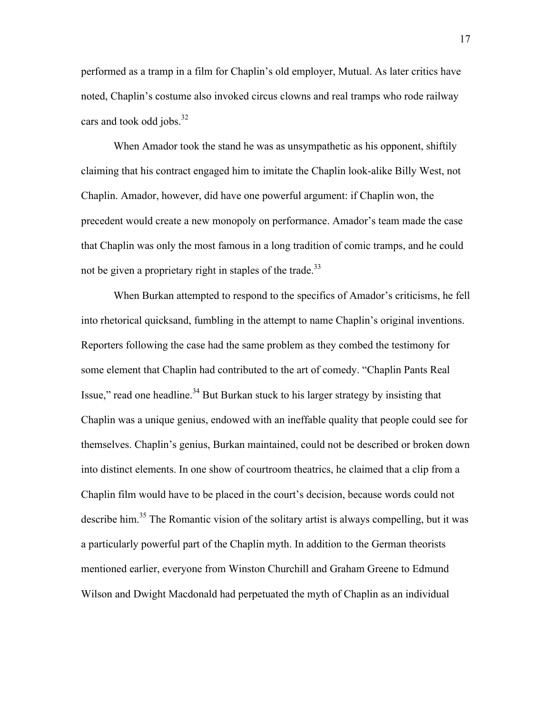performed as a tramp in a film for Chaplin's old employer, Mutual. As later critics have noted, Chaplin's costume also invoked circus clowns and real tramps who rode railway cars and took odd jobs. $32$ 

When Amador took the stand he was as unsympathetic as his opponent, shiftily claiming that his contract engaged him to imitate the Chaplin look-alike Billy West, not Chaplin. Amador, however, did have one powerful argument: if Chaplin won, the precedent would create a new monopoly on performance. Amador's team made the case that Chaplin was only the most famous in a long tradition of comic tramps, and he could not be given a proprietary right in staples of the trade.<sup>33</sup>

When Burkan attempted to respond to the specifics of Amador's criticisms, he fell into rhetorical quicksand, fumbling in the attempt to name Chaplin's original inventions. Reporters following the case had the same problem as they combed the testimony for some element that Chaplin had contributed to the art of comedy. "Chaplin Pants Real Issue," read one headline.<sup>34</sup> But Burkan stuck to his larger strategy by insisting that Chaplin was a unique genius, endowed with an ineffable quality that people could see for themselves. Chaplin's genius, Burkan maintained, could not be described or broken down into distinct elements. In one show of courtroom theatrics, he claimed that a clip from a Chaplin film would have to be placed in the court's decision, because words could not describe him.<sup>35</sup> The Romantic vision of the solitary artist is always compelling, but it was a particularly powerful part of the Chaplin myth. In addition to the German theorists mentioned earlier, everyone from Winston Churchill and Graham Greene to Edmund Wilson and Dwight Macdonald had perpetuated the myth of Chaplin as an individual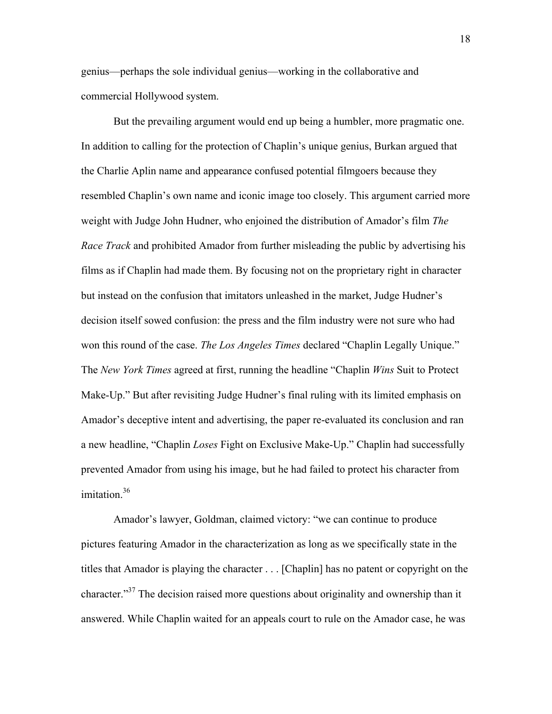genius—perhaps the sole individual genius—working in the collaborative and commercial Hollywood system.

But the prevailing argument would end up being a humbler, more pragmatic one. In addition to calling for the protection of Chaplin's unique genius, Burkan argued that the Charlie Aplin name and appearance confused potential filmgoers because they resembled Chaplin's own name and iconic image too closely. This argument carried more weight with Judge John Hudner, who enjoined the distribution of Amador's film *The Race Track* and prohibited Amador from further misleading the public by advertising his films as if Chaplin had made them. By focusing not on the proprietary right in character but instead on the confusion that imitators unleashed in the market, Judge Hudner's decision itself sowed confusion: the press and the film industry were not sure who had won this round of the case. *The Los Angeles Times* declared "Chaplin Legally Unique." The *New York Times* agreed at first, running the headline "Chaplin *Wins* Suit to Protect Make-Up." But after revisiting Judge Hudner's final ruling with its limited emphasis on Amador's deceptive intent and advertising, the paper re-evaluated its conclusion and ran a new headline, "Chaplin *Loses* Fight on Exclusive Make-Up." Chaplin had successfully prevented Amador from using his image, but he had failed to protect his character from imitation.<sup>36</sup>

Amador's lawyer, Goldman, claimed victory: "we can continue to produce pictures featuring Amador in the characterization as long as we specifically state in the titles that Amador is playing the character . . . [Chaplin] has no patent or copyright on the character."37 The decision raised more questions about originality and ownership than it answered. While Chaplin waited for an appeals court to rule on the Amador case, he was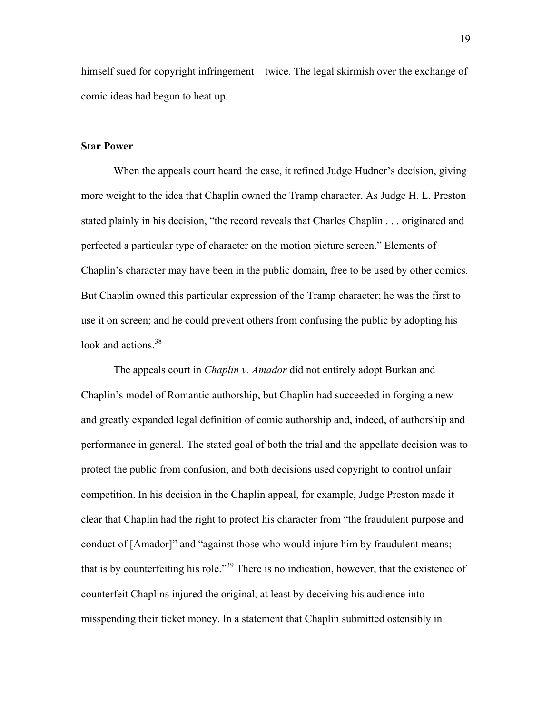himself sued for copyright infringement—twice. The legal skirmish over the exchange of comic ideas had begun to heat up.

## **Star Power**

When the appeals court heard the case, it refined Judge Hudner's decision, giving more weight to the idea that Chaplin owned the Tramp character. As Judge H. L. Preston stated plainly in his decision, "the record reveals that Charles Chaplin . . . originated and perfected a particular type of character on the motion picture screen." Elements of Chaplin's character may have been in the public domain, free to be used by other comics. But Chaplin owned this particular expression of the Tramp character; he was the first to use it on screen; and he could prevent others from confusing the public by adopting his look and actions  $38$ 

The appeals court in *Chaplin v. Amador* did not entirely adopt Burkan and Chaplin's model of Romantic authorship, but Chaplin had succeeded in forging a new and greatly expanded legal definition of comic authorship and, indeed, of authorship and performance in general. The stated goal of both the trial and the appellate decision was to protect the public from confusion, and both decisions used copyright to control unfair competition. In his decision in the Chaplin appeal, for example, Judge Preston made it clear that Chaplin had the right to protect his character from "the fraudulent purpose and conduct of [Amador]" and "against those who would injure him by fraudulent means; that is by counterfeiting his role."39 There is no indication, however, that the existence of counterfeit Chaplins injured the original, at least by deceiving his audience into misspending their ticket money. In a statement that Chaplin submitted ostensibly in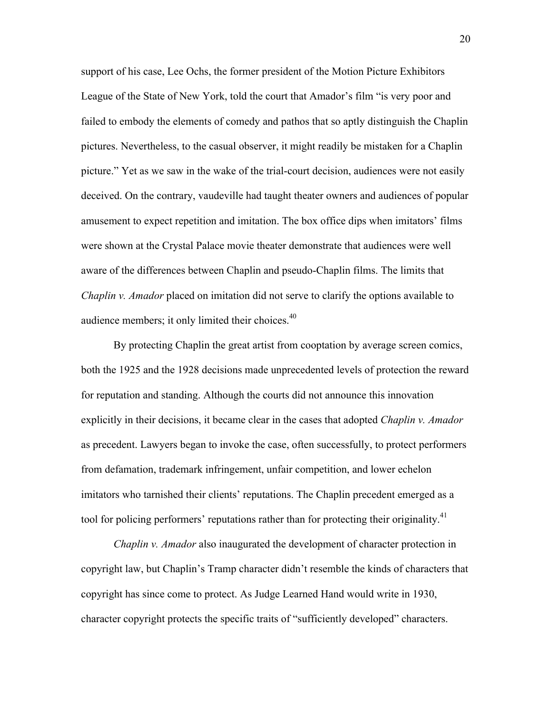support of his case, Lee Ochs, the former president of the Motion Picture Exhibitors League of the State of New York, told the court that Amador's film "is very poor and failed to embody the elements of comedy and pathos that so aptly distinguish the Chaplin pictures. Nevertheless, to the casual observer, it might readily be mistaken for a Chaplin picture." Yet as we saw in the wake of the trial-court decision, audiences were not easily deceived. On the contrary, vaudeville had taught theater owners and audiences of popular amusement to expect repetition and imitation. The box office dips when imitators' films were shown at the Crystal Palace movie theater demonstrate that audiences were well aware of the differences between Chaplin and pseudo-Chaplin films. The limits that *Chaplin v. Amador* placed on imitation did not serve to clarify the options available to audience members; it only limited their choices.<sup>40</sup>

By protecting Chaplin the great artist from cooptation by average screen comics, both the 1925 and the 1928 decisions made unprecedented levels of protection the reward for reputation and standing. Although the courts did not announce this innovation explicitly in their decisions, it became clear in the cases that adopted *Chaplin v. Amador* as precedent. Lawyers began to invoke the case, often successfully, to protect performers from defamation, trademark infringement, unfair competition, and lower echelon imitators who tarnished their clients' reputations. The Chaplin precedent emerged as a tool for policing performers' reputations rather than for protecting their originality.<sup>41</sup>

*Chaplin v. Amador* also inaugurated the development of character protection in copyright law, but Chaplin's Tramp character didn't resemble the kinds of characters that copyright has since come to protect. As Judge Learned Hand would write in 1930, character copyright protects the specific traits of "sufficiently developed" characters.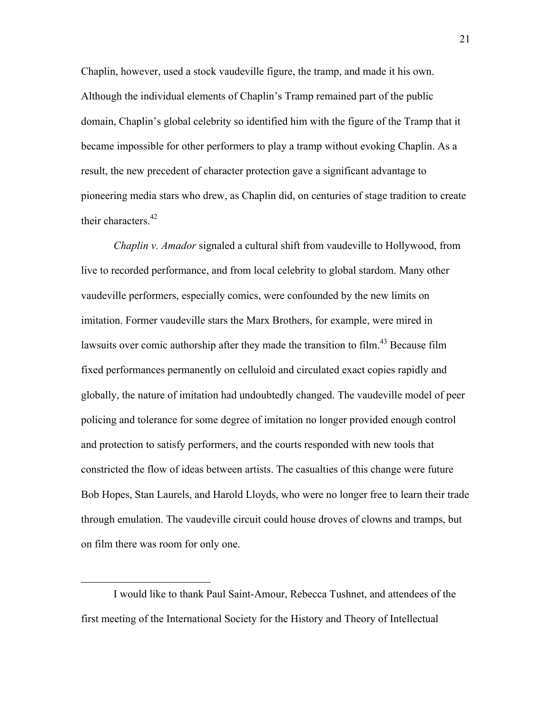Chaplin, however, used a stock vaudeville figure, the tramp, and made it his own. Although the individual elements of Chaplin's Tramp remained part of the public domain, Chaplin's global celebrity so identified him with the figure of the Tramp that it became impossible for other performers to play a tramp without evoking Chaplin. As a result, the new precedent of character protection gave a significant advantage to pioneering media stars who drew, as Chaplin did, on centuries of stage tradition to create their characters.<sup>42</sup>

*Chaplin v. Amador* signaled a cultural shift from vaudeville to Hollywood, from live to recorded performance, and from local celebrity to global stardom. Many other vaudeville performers, especially comics, were confounded by the new limits on imitation. Former vaudeville stars the Marx Brothers, for example, were mired in lawsuits over comic authorship after they made the transition to film.<sup>43</sup> Because film fixed performances permanently on celluloid and circulated exact copies rapidly and globally, the nature of imitation had undoubtedly changed. The vaudeville model of peer policing and tolerance for some degree of imitation no longer provided enough control and protection to satisfy performers, and the courts responded with new tools that constricted the flow of ideas between artists. The casualties of this change were future Bob Hopes, Stan Laurels, and Harold Lloyds, who were no longer free to learn their trade through emulation. The vaudeville circuit could house droves of clowns and tramps, but on film there was room for only one.

 $\overline{a}$ 

I would like to thank Paul Saint-Amour, Rebecca Tushnet, and attendees of the first meeting of the International Society for the History and Theory of Intellectual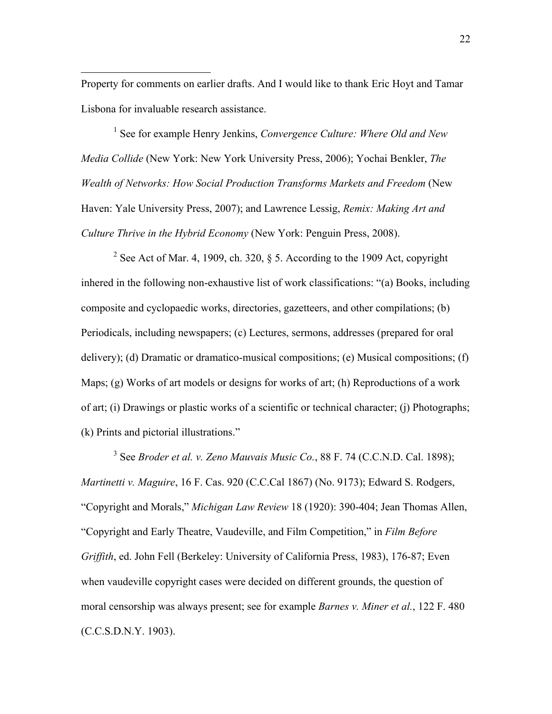Property for comments on earlier drafts. And I would like to thank Eric Hoyt and Tamar Lisbona for invaluable research assistance.

 $\overline{a}$ 

<sup>1</sup> See for example Henry Jenkins, *Convergence Culture: Where Old and New Media Collide* (New York: New York University Press, 2006); Yochai Benkler, *The Wealth of Networks: How Social Production Transforms Markets and Freedom* (New Haven: Yale University Press, 2007); and Lawrence Lessig, *Remix: Making Art and Culture Thrive in the Hybrid Economy* (New York: Penguin Press, 2008).

<sup>2</sup> See Act of Mar. 4, 1909, ch. 320, § 5. According to the 1909 Act, copyright inhered in the following non-exhaustive list of work classifications: "(a) Books, including composite and cyclopaedic works, directories, gazetteers, and other compilations; (b) Periodicals, including newspapers; (c) Lectures, sermons, addresses (prepared for oral delivery); (d) Dramatic or dramatico-musical compositions; (e) Musical compositions; (f) Maps; (g) Works of art models or designs for works of art; (h) Reproductions of a work of art; (i) Drawings or plastic works of a scientific or technical character; (j) Photographs; (k) Prints and pictorial illustrations."

3 See *Broder et al. v. Zeno Mauvais Music Co.*, 88 F. 74 (C.C.N.D. Cal. 1898); *Martinetti v. Maguire*, 16 F. Cas. 920 (C.C.Cal 1867) (No. 9173); Edward S. Rodgers, "Copyright and Morals," *Michigan Law Review* 18 (1920): 390-404; Jean Thomas Allen, "Copyright and Early Theatre, Vaudeville, and Film Competition," in *Film Before Griffith*, ed. John Fell (Berkeley: University of California Press, 1983), 176-87; Even when vaudeville copyright cases were decided on different grounds, the question of moral censorship was always present; see for example *Barnes v. Miner et al.*, 122 F. 480 (C.C.S.D.N.Y. 1903).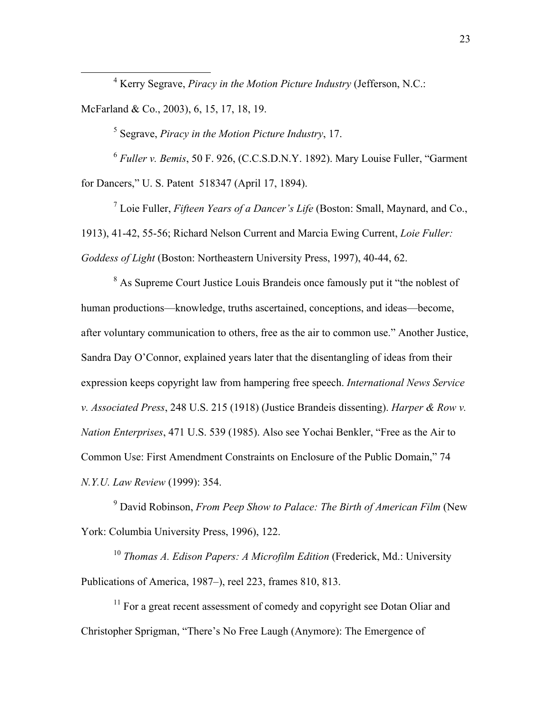4 Kerry Segrave, *Piracy in the Motion Picture Industry* (Jefferson, N.C.: McFarland & Co., 2003), 6, 15, 17, 18, 19.

5 Segrave, *Piracy in the Motion Picture Industry*, 17.

<sup>6</sup> *Fuller v. Bemis*, 50 F. 926, (C.C.S.D.N.Y. 1892). Mary Louise Fuller, "Garment for Dancers," U. S. Patent 518347 (April 17, 1894).

7 Loie Fuller, *Fifteen Years of a Dancer's Life* (Boston: Small, Maynard, and Co., 1913), 41-42, 55-56; Richard Nelson Current and Marcia Ewing Current, *Loie Fuller: Goddess of Light* (Boston: Northeastern University Press, 1997), 40-44, 62.

<sup>8</sup> As Supreme Court Justice Louis Brandeis once famously put it "the noblest of human productions—knowledge, truths ascertained, conceptions, and ideas—become, after voluntary communication to others, free as the air to common use." Another Justice, Sandra Day O'Connor, explained years later that the disentangling of ideas from their expression keeps copyright law from hampering free speech. *International News Service v. Associated Press*, 248 U.S. 215 (1918) (Justice Brandeis dissenting). *Harper & Row v. Nation Enterprises*, 471 U.S. 539 (1985). Also see Yochai Benkler, "Free as the Air to Common Use: First Amendment Constraints on Enclosure of the Public Domain," 74 *N.Y.U. Law Review* (1999): 354.

<sup>9</sup> David Robinson, *From Peep Show to Palace: The Birth of American Film* (New York: Columbia University Press, 1996), 122.

<sup>10</sup> *Thomas A. Edison Papers: A Microfilm Edition* (Frederick, Md.: University Publications of America, 1987–), reel 223, frames 810, 813.

 $11$  For a great recent assessment of comedy and copyright see Dotan Oliar and Christopher Sprigman, "There's No Free Laugh (Anymore): The Emergence of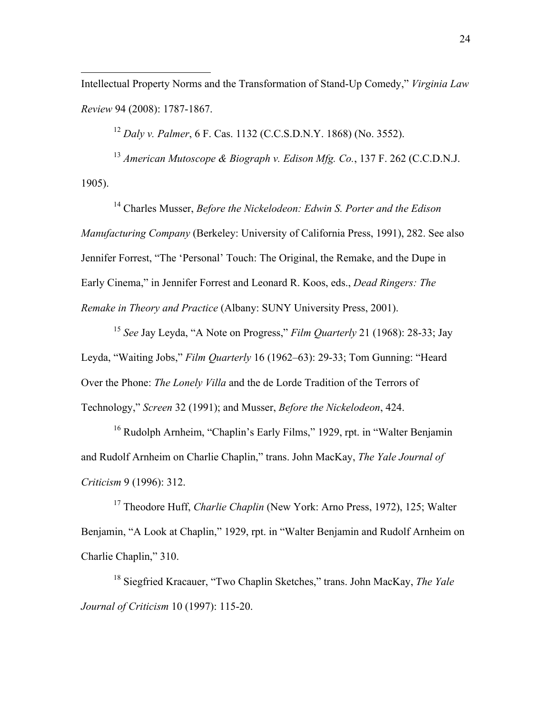Intellectual Property Norms and the Transformation of Stand-Up Comedy," *Virginia Law Review* 94 (2008): 1787-1867.

<sup>12</sup> *Daly v. Palmer*, 6 F. Cas. 1132 (C.C.S.D.N.Y. 1868) (No. 3552).

 $\overline{a}$ 

<sup>13</sup> *American Mutoscope & Biograph v. Edison Mfg. Co.*, 137 F. 262 (C.C.D.N.J. 1905).

14 Charles Musser, *Before the Nickelodeon: Edwin S. Porter and the Edison Manufacturing Company* (Berkeley: University of California Press, 1991), 282. See also Jennifer Forrest, "The 'Personal' Touch: The Original, the Remake, and the Dupe in Early Cinema," in Jennifer Forrest and Leonard R. Koos, eds., *Dead Ringers: The Remake in Theory and Practice* (Albany: SUNY University Press, 2001).

<sup>15</sup> *See* Jay Leyda, "A Note on Progress," *Film Quarterly* 21 (1968): 28-33; Jay Leyda, "Waiting Jobs," *Film Quarterly* 16 (1962–63): 29-33; Tom Gunning: "Heard Over the Phone: *The Lonely Villa* and the de Lorde Tradition of the Terrors of Technology," *Screen* 32 (1991); and Musser, *Before the Nickelodeon*, 424.

<sup>16</sup> Rudolph Arnheim, "Chaplin's Early Films," 1929, rpt. in "Walter Benjamin" and Rudolf Arnheim on Charlie Chaplin," trans. John MacKay, *The Yale Journal of Criticism* 9 (1996): 312.

<sup>17</sup> Theodore Huff, *Charlie Chaplin* (New York: Arno Press, 1972), 125; Walter Benjamin, "A Look at Chaplin," 1929, rpt. in "Walter Benjamin and Rudolf Arnheim on Charlie Chaplin," 310.

<sup>18</sup> Siegfried Kracauer, "Two Chaplin Sketches," trans. John MacKay, *The Yale Journal of Criticism* 10 (1997): 115-20.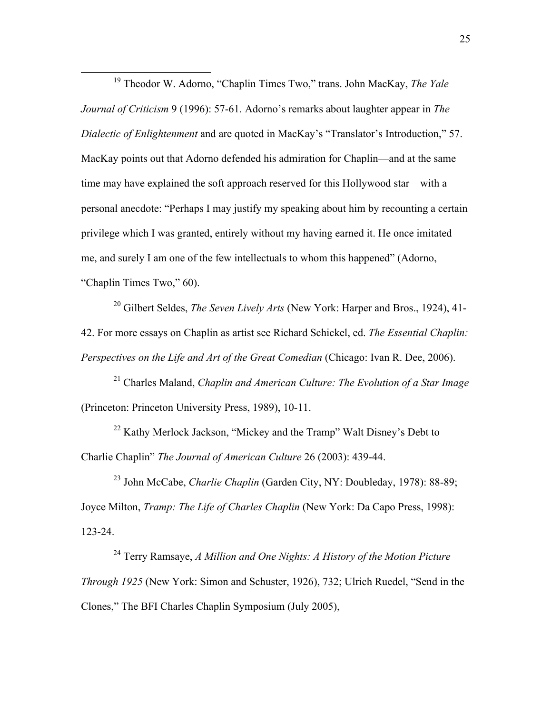19 Theodor W. Adorno, "Chaplin Times Two," trans. John MacKay, *The Yale Journal of Criticism* 9 (1996): 57-61. Adorno's remarks about laughter appear in *The Dialectic of Enlightenment* and are quoted in MacKay's "Translator's Introduction," 57. MacKay points out that Adorno defended his admiration for Chaplin—and at the same time may have explained the soft approach reserved for this Hollywood star—with a personal anecdote: "Perhaps I may justify my speaking about him by recounting a certain privilege which I was granted, entirely without my having earned it. He once imitated me, and surely I am one of the few intellectuals to whom this happened" (Adorno, "Chaplin Times Two," 60).

<sup>20</sup> Gilbert Seldes, *The Seven Lively Arts* (New York: Harper and Bros., 1924), 41-42. For more essays on Chaplin as artist see Richard Schickel, ed. *The Essential Chaplin: Perspectives on the Life and Art of the Great Comedian* (Chicago: Ivan R. Dee, 2006).

<sup>21</sup> Charles Maland, *Chaplin and American Culture: The Evolution of a Star Image*  (Princeton: Princeton University Press, 1989), 10-11.

 $22$  Kathy Merlock Jackson, "Mickey and the Tramp" Walt Disney's Debt to Charlie Chaplin" *The Journal of American Culture* 26 (2003): 439-44.

<sup>23</sup> John McCabe, *Charlie Chaplin* (Garden City, NY: Doubleday, 1978): 88-89; Joyce Milton, *Tramp: The Life of Charles Chaplin* (New York: Da Capo Press, 1998): 123-24.

24 Terry Ramsaye, *A Million and One Nights: A History of the Motion Picture Through 1925* (New York: Simon and Schuster, 1926), 732; Ulrich Ruedel, "Send in the Clones," The BFI Charles Chaplin Symposium (July 2005),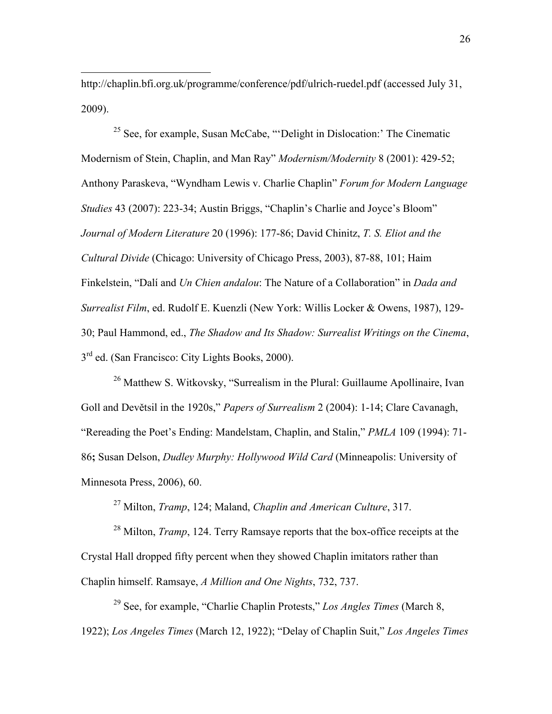http://chaplin.bfi.org.uk/programme/conference/pdf/ulrich-ruedel.pdf (accessed July 31, 2009).

 $\overline{a}$ 

 $25$  See, for example, Susan McCabe, "Delight in Dislocation:' The Cinematic Modernism of Stein, Chaplin, and Man Ray" *Modernism/Modernity* 8 (2001): 429-52; Anthony Paraskeva, "Wyndham Lewis v. Charlie Chaplin" *Forum for Modern Language Studies* 43 (2007): 223-34; Austin Briggs, "Chaplin's Charlie and Joyce's Bloom" *Journal of Modern Literature* 20 (1996): 177-86; David Chinitz, *T. S. Eliot and the Cultural Divide* (Chicago: University of Chicago Press, 2003), 87-88, 101; Haim Finkelstein, "Dalí and *Un Chien andalou*: The Nature of a Collaboration" in *Dada and Surrealist Film*, ed. Rudolf E. Kuenzli (New York: Willis Locker & Owens, 1987), 129- 30; Paul Hammond, ed., *The Shadow and Its Shadow: Surrealist Writings on the Cinema*,  $3<sup>rd</sup>$  ed. (San Francisco: City Lights Books, 2000).

 $26$  Matthew S. Witkovsky, "Surrealism in the Plural: Guillaume Apollinaire, Ivan Goll and Devětsil in the 1920s," *Papers of Surrealism* 2 (2004): 1-14; Clare Cavanagh, "Rereading the Poet's Ending: Mandelstam, Chaplin, and Stalin," *PMLA* 109 (1994): 71- 86**;** Susan Delson, *Dudley Murphy: Hollywood Wild Card* (Minneapolis: University of Minnesota Press, 2006), 60.

27 Milton, *Tramp*, 124; Maland, *Chaplin and American Culture*, 317.

28 Milton, *Tramp*, 124. Terry Ramsaye reports that the box-office receipts at the Crystal Hall dropped fifty percent when they showed Chaplin imitators rather than Chaplin himself. Ramsaye, *A Million and One Nights*, 732, 737.

29 See, for example, "Charlie Chaplin Protests," *Los Angles Times* (March 8, 1922); *Los Angeles Times* (March 12, 1922); "Delay of Chaplin Suit," *Los Angeles Times*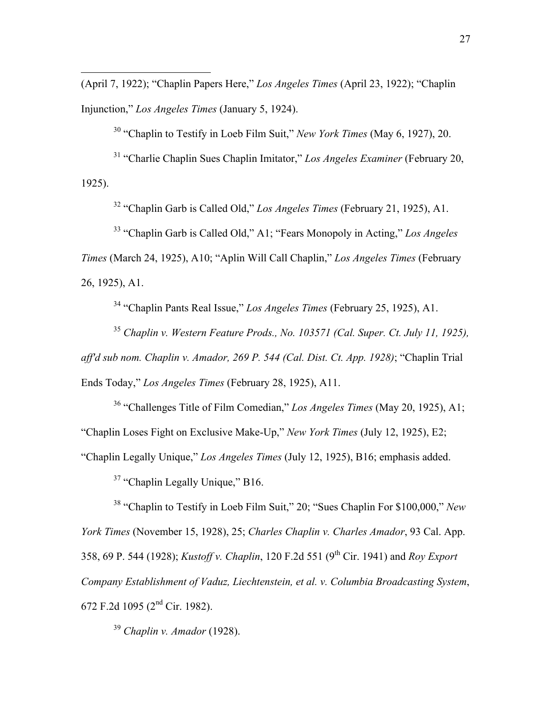(April 7, 1922); "Chaplin Papers Here," *Los Angeles Times* (April 23, 1922); "Chaplin Injunction," *Los Angeles Times* (January 5, 1924).

30 "Chaplin to Testify in Loeb Film Suit," *New York Times* (May 6, 1927), 20.

31 "Charlie Chaplin Sues Chaplin Imitator," *Los Angeles Examiner* (February 20, 1925).

32 "Chaplin Garb is Called Old," *Los Angeles Times* (February 21, 1925), A1.

33 "Chaplin Garb is Called Old," A1; "Fears Monopoly in Acting," *Los Angeles Times* (March 24, 1925), A10; "Aplin Will Call Chaplin," *Los Angeles Times* (February 26, 1925), A1.

34 "Chaplin Pants Real Issue," *Los Angeles Times* (February 25, 1925), A1.

<sup>35</sup> *Chaplin v. Western Feature Prods., No. 103571 (Cal. Super. Ct. July 11, 1925), aff'd sub nom. Chaplin v. Amador, 269 P. 544 (Cal. Dist. Ct. App. 1928)*; "Chaplin Trial Ends Today," *Los Angeles Times* (February 28, 1925), A11.

36 "Challenges Title of Film Comedian," *Los Angeles Times* (May 20, 1925), A1; "Chaplin Loses Fight on Exclusive Make-Up," *New York Times* (July 12, 1925), E2; "Chaplin Legally Unique," *Los Angeles Times* (July 12, 1925), B16; emphasis added.

 $37$  "Chaplin Legally Unique," B16.

 $\overline{a}$ 

38 "Chaplin to Testify in Loeb Film Suit," 20; "Sues Chaplin For \$100,000," *New York Times* (November 15, 1928), 25; *Charles Chaplin v. Charles Amador*, 93 Cal. App. 358, 69 P. 544 (1928); *Kustoff v. Chaplin*, 120 F.2d 551 (9th Cir. 1941) and *Roy Export Company Establishment of Vaduz, Liechtenstein, et al. v. Columbia Broadcasting System*, 672 F.2d 1095 (2nd Cir. 1982).

<sup>39</sup> *Chaplin v. Amador* (1928).